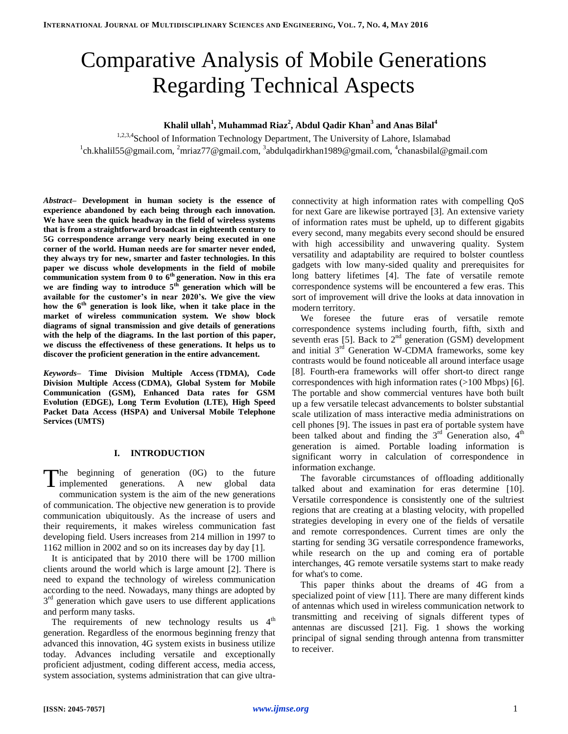# Comparative Analysis of Mobile Generations Regarding Technical Aspects

# **Khalil ullah<sup>1</sup> , Muhammad Riaz<sup>2</sup> , Abdul Qadir Khan<sup>3</sup> and Anas Bilal<sup>4</sup>**

1,2,3,4School of Information Technology Department, The University of Lahore, Islamabad <sup>1</sup>ch.khalil55@gmail.com, <sup>2</sup>mriaz77@gmail.com, <sup>3</sup>abdulqadirkhan1989@gmail.com, <sup>4</sup>chanasbilal@gmail.com

*Abstract–* **Development in human society is the essence of experience abandoned by each being through each innovation. We have seen the quick headway in the field of wireless systems that is from a straightforward broadcast in eighteenth century to 5G correspondence arrange very nearly being executed in one corner of the world. Human needs are for smarter never ended, they always try for new, smarter and faster technologies. In this paper we discuss whole developments in the field of mobile communication system from 0 to 6th generation. Now in this era we are finding way to introduce 5 th generation which will be available for the customer's in near 2020's. We give the view how the 6th generation is look like, when it take place in the market of wireless communication system. We show block diagrams of signal transmission and give details of generations with the help of the diagrams. In the last portion of this paper, we discuss the effectiveness of these generations. It helps us to discover the proficient generation in the entire advancement.**

*Keywords–* **Time Division Multiple Access (TDMA), [Code](https://en.wikipedia.org/wiki/Code_Division_Multiple_Access)  [Division Multiple Access](https://en.wikipedia.org/wiki/Code_Division_Multiple_Access) (CDMA), Global System for Mobile Communication (GSM), Enhanced Data rates for GSM Evolution (EDGE), Long Term Evolution (LTE), High Speed Packet Data Access (HSPA) and Universal Mobile Telephone Services (UMTS)**

## **I. INTRODUCTION**

The beginning of generation (0G) to the future The beginning of generation (0G) to the future<br>implemented generations. A new global data communication system is the aim of the new generations of communication. The objective new generation is to provide communication ubiquitously. As the increase of users and their requirements, it makes wireless communication fast developing field. Users increases from 214 million in 1997 to 1162 million in 2002 and so on its increases day by day [1].

It is anticipated that by 2010 there will be 1700 million clients around the world which is large amount [2]. There is need to expand the technology of wireless communication according to the need. Nowadays, many things are adopted by 3<sup>rd</sup> generation which gave users to use different applications and perform many tasks.

The requirements of new technology results us  $4<sup>th</sup>$ generation. Regardless of the enormous beginning frenzy that advanced this innovation, 4G system exists in business utilize today. Advances including versatile and exceptionally proficient adjustment, coding different access, media access, system association, systems administration that can give ultraconnectivity at high information rates with compelling QoS for next Gare are likewise portrayed [3]. An extensive variety of information rates must be upheld, up to different gigabits every second, many megabits every second should be ensured with high accessibility and unwavering quality. System versatility and adaptability are required to bolster countless gadgets with low many-sided quality and prerequisites for long battery lifetimes [4]. The fate of versatile remote correspondence systems will be encountered a few eras. This sort of improvement will drive the looks at data innovation in modern territory.

We foresee the future eras of versatile remote correspondence systems including fourth, fifth, sixth and seventh eras [5]. Back to  $2<sup>nd</sup>$  generation (GSM) development and initial  $3<sup>rd</sup>$  Generation W-CDMA frameworks, some key contrasts would be found noticeable all around interface usage [8]. Fourth-era frameworks will offer short-to direct range correspondences with high information rates (>100 Mbps) [6]. The portable and show commercial ventures have both built up a few versatile telecast advancements to bolster substantial scale utilization of mass interactive media administrations on cell phones [9]. The issues in past era of portable system have been talked about and finding the  $3<sup>rd</sup>$  Generation also,  $4<sup>th</sup>$ generation is aimed. Portable loading information is significant worry in calculation of correspondence in information exchange.

The favorable circumstances of offloading additionally talked about and examination for eras determine [10]. Versatile correspondence is consistently one of the sultriest regions that are creating at a blasting velocity, with propelled strategies developing in every one of the fields of versatile and remote correspondences. Current times are only the starting for sending 3G versatile correspondence frameworks, while research on the up and coming era of portable interchanges, 4G remote versatile systems start to make ready for what's to come.

This paper thinks about the dreams of 4G from a specialized point of view [11]. There are many different kinds of antennas which used in wireless communication network to transmitting and receiving of signals different types of antennas are discussed [21]. Fig. 1 shows the working principal of signal sending through antenna from transmitter to receiver.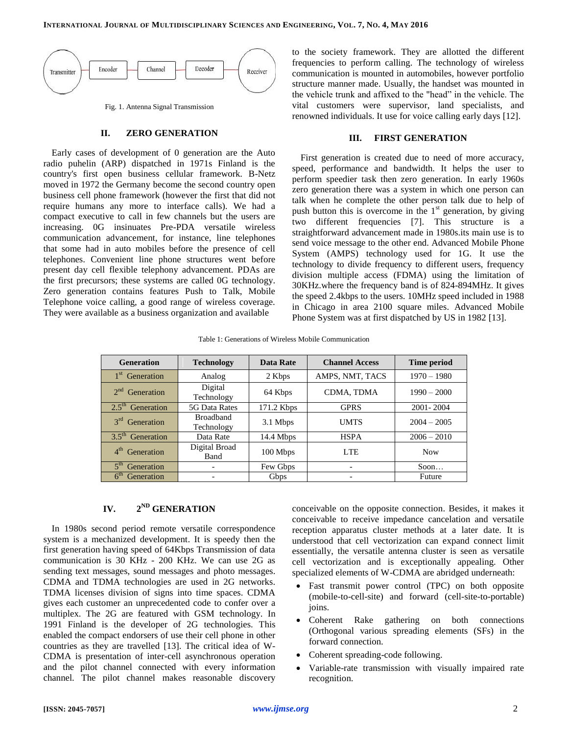

## **II. ZERO GENERATION**

Early cases of development of 0 generation are the Auto radio puhelin (ARP) dispatched in 1971s Finland is the country's first open business cellular framework. B-Netz moved in 1972 the Germany become the second country open business cell phone framework (however the first that did not require humans any more to interface calls). We had a compact executive to call in few channels but the users are increasing. 0G insinuates Pre-PDA versatile wireless communication advancement, for instance, line telephones that some had in auto mobiles before the presence of cell telephones. Convenient line phone structures went before present day cell flexible telephony advancement. PDAs are the first precursors; these systems are called 0G technology. Zero generation contains features Push to Talk, Mobile Telephone voice calling, a good range of wireless coverage. They were available as a business organization and available

to the society framework. They are allotted the different frequencies to perform calling. The technology of wireless communication is mounted in automobiles, however portfolio structure manner made. Usually, the handset was mounted in the vehicle trunk and affixed to the "head" in the vehicle. The vital customers were supervisor, land specialists, and renowned individuals. It use for voice calling early days [12].

## **III. FIRST GENERATION**

First generation is created due to need of more accuracy, speed, performance and bandwidth. It helps the user to perform speedier task then zero generation. In early 1960s zero generation there was a system in which one person can talk when he complete the other person talk due to help of push button this is overcome in the  $1<sup>st</sup>$  generation, by giving two different frequencies [7]. This structure is a straightforward advancement made in 1980s.its main use is to send voice message to the other end. Advanced Mobile Phone System (AMPS) technology used for 1G. It use the technology to divide frequency to different users, frequency division multiple access (FDMA) using the limitation of 30KHz.where the frequency band is of 824-894MHz. It gives the speed 2.4kbps to the users. 10MHz speed included in 1988 in Chicago in area 2100 square miles. Advanced Mobile Phone System was at first dispatched by US in 1982 [13].

Table 1: Generations of Wireless Mobile Communication

| <b>Generation</b>             | <b>Technology</b>              | Data Rate   | <b>Channel Access</b> | Time period   |
|-------------------------------|--------------------------------|-------------|-----------------------|---------------|
| 1 <sup>st</sup> Generation    | Analog                         | 2 Kbps      | AMPS, NMT, TACS       | $1970 - 1980$ |
| $2nd$ Generation              | Digital<br>Technology          | 64 Kbps     | CDMA, TDMA            | $1990 - 2000$ |
| $2.5th$ Generation            | 5G Data Rates                  | 171.2 Kbps  | <b>GPRS</b>           | 2001-2004     |
| $3^{\text{rd}}$<br>Generation | <b>Broadband</b><br>Technology | 3.1 Mbps    | <b>UMTS</b>           | $2004 - 2005$ |
| $3.5th$ Generation            | Data Rate                      | $14.4$ Mbps | <b>HSPA</b>           | $2006 - 2010$ |
| 4 <sup>th</sup><br>Generation | Digital Broad<br>Band          | 100 Mbps    | LTE.                  | <b>Now</b>    |
| 5 <sup>th</sup><br>Generation |                                | Few Gbps    |                       | Soon          |
| 6 <sup>th</sup><br>Generation |                                | Gbps        |                       | Future        |

#### **IV. 2 ND GENERATION**

In 1980s second period remote versatile correspondence system is a mechanized development. It is speedy then the first generation having speed of 64Kbps Transmission of data communication is 30 KHz - 200 KHz. We can use 2G as sending text messages, sound messages and photo messages. CDMA and TDMA technologies are used in 2G networks. TDMA licenses division of signs into time spaces. CDMA gives each customer an unprecedented code to confer over a multiplex. The 2G are featured with GSM technology. In 1991 Finland is the developer of 2G technologies. This enabled the compact endorsers of use their cell phone in other countries as they are travelled [13]. The critical idea of W-CDMA is presentation of inter-cell asynchronous operation and the pilot channel connected with every information channel. The pilot channel makes reasonable discovery conceivable on the opposite connection. Besides, it makes it conceivable to receive impedance cancelation and versatile reception apparatus cluster methods at a later date. It is understood that cell vectorization can expand connect limit essentially, the versatile antenna cluster is seen as versatile cell vectorization and is exceptionally appealing. Other specialized elements of W-CDMA are abridged underneath:

- Fast transmit power control (TPC) on both opposite (mobile-to-cell-site) and forward (cell-site-to-portable) joins.
- Coherent Rake gathering on both connections (Orthogonal various spreading elements (SFs) in the forward connection.
- Coherent spreading-code following.
- Variable-rate transmission with visually impaired rate recognition.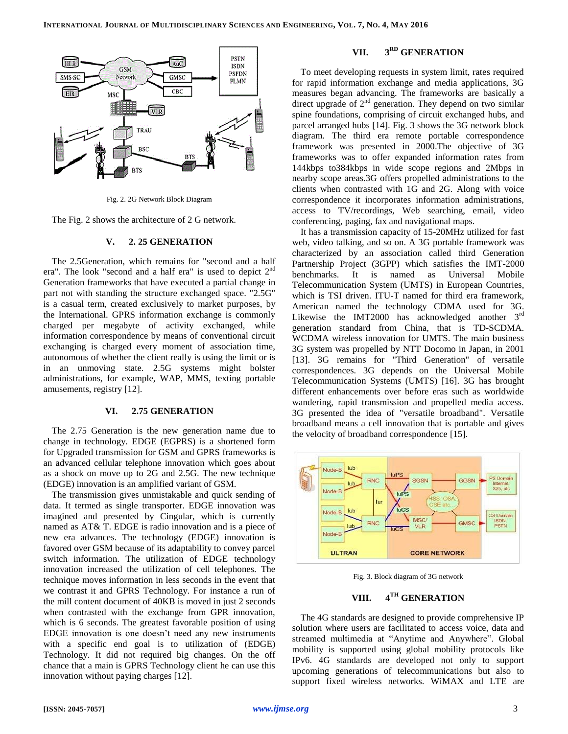

Fig. 2. 2G Network Block Diagram

The Fig. 2 shows the architecture of 2 G network.

## **V. 2. 25 GENERATION**

The 2.5Generation, which remains for "second and a half era". The look "second and a half era" is used to depict 2nd Generation frameworks that have executed a partial change in part not with standing the structure exchanged space. "2.5G" is a casual term, created exclusively to market purposes, by the International. GPRS information exchange is commonly charged per megabyte of activity exchanged, while information correspondence by means of conventional circuit exchanging is charged every moment of association time, autonomous of whether the client really is using the limit or is in an unmoving state. 2.5G systems might bolster administrations, for example, WAP, MMS, texting portable amusements, registry [12].

## **VI. 2.75 GENERATION**

The 2.75 Generation is the new generation name due to change in technology. EDGE (EGPRS) is a shortened form for Upgraded transmission for GSM and GPRS frameworks is an advanced cellular telephone innovation which goes about as a shock on move up to 2G and 2.5G. The new technique (EDGE) innovation is an amplified variant of GSM.

The transmission gives unmistakable and quick sending of data. It termed as single transporter. EDGE innovation was imagined and presented by Cingular, which is currently named as AT& T. EDGE is radio innovation and is a piece of new era advances. The technology (EDGE) innovation is favored over GSM because of its adaptability to convey parcel switch information. The utilization of EDGE technology innovation increased the utilization of cell telephones. The technique moves information in less seconds in the event that we contrast it and GPRS Technology. For instance a run of the mill content document of 40KB is moved in just 2 seconds when contrasted with the exchange from GPR innovation, which is 6 seconds. The greatest favorable position of using EDGE innovation is one doesn't need any new instruments with a specific end goal is to utilization of (EDGE) Technology. It did not required big changes. On the off chance that a main is GPRS Technology client he can use this innovation without paying charges [12].

#### **VII. 3 RD GENERATION**

To meet developing requests in system limit, rates required for rapid information exchange and media applications, 3G measures began advancing. The frameworks are basically a direct upgrade of  $2<sup>nd</sup>$  generation. They depend on two similar spine foundations, comprising of circuit exchanged hubs, and parcel arranged hubs [14]. Fig. 3 shows the 3G network block diagram. The third era remote portable correspondence framework was presented in 2000.The objective of 3G frameworks was to offer expanded information rates from 144kbps to384kbps in wide scope regions and 2Mbps in nearby scope areas.3G offers propelled administrations to the clients when contrasted with 1G and 2G. Along with voice correspondence it incorporates information administrations, access to TV/recordings, Web searching, email, video conferencing, paging, fax and navigational maps.

It has a transmission capacity of 15-20MHz utilized for fast web, video talking, and so on. A 3G portable framework was characterized by an association called third Generation Partnership Project (3GPP) which satisfies the IMT-2000 benchmarks. It is named as Universal Mobile Telecommunication System (UMTS) in European Countries, which is TSI driven. ITU-T named for third era framework, American named the technology CDMA used for 3G. Likewise the IMT2000 has acknowledged another 3<sup>rd</sup> generation standard from China, that is TD-SCDMA. WCDMA wireless innovation for UMTS. The main business 3G system was propelled by NTT Docomo in Japan, in 2001 [13]. 3G remains for "Third Generation" of versatile correspondences. 3G depends on the Universal Mobile Telecommunication Systems (UMTS) [16]. 3G has brought different enhancements over before eras such as worldwide wandering, rapid transmission and propelled media access. 3G presented the idea of "versatile broadband". Versatile broadband means a cell innovation that is portable and gives the velocity of broadband correspondence [15].



Fig. 3. Block diagram of 3G network

#### **VIII. 4 TH GENERATION**

The 4G standards are designed to provide comprehensive IP solution where users are facilitated to access voice, data and streamed multimedia at "Anytime and Anywhere". Global mobility is supported using global mobility protocols like IPv6. 4G standards are developed not only to support upcoming generations of telecommunications but also to support fixed wireless networks. WiMAX and LTE are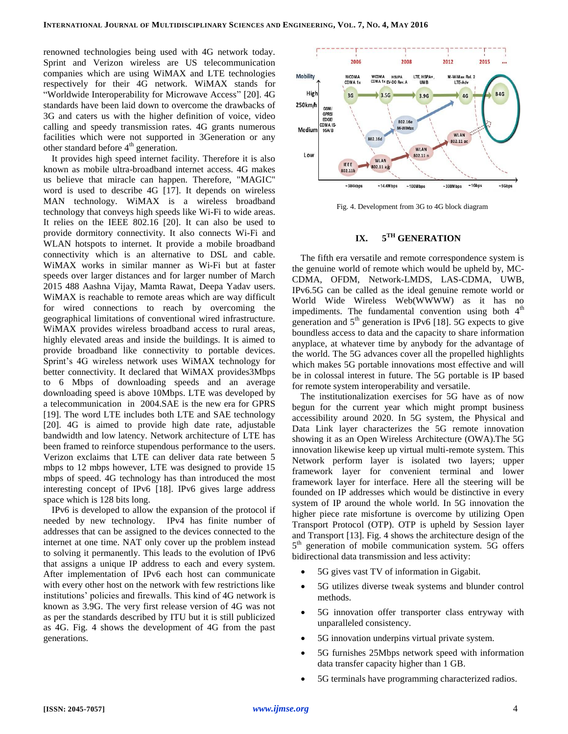renowned technologies being used with 4G network today. Sprint and Verizon wireless are US telecommunication companies which are using WiMAX and LTE technologies respectively for their 4G network. WiMAX stands for "Worldwide Interoperability for Microwave Access" [20]. 4G standards have been laid down to overcome the drawbacks of 3G and caters us with the higher definition of voice, video calling and speedy transmission rates. 4G grants numerous facilities which were not supported in 3Generation or any other standard before 4<sup>th</sup> generation.

It provides high speed internet facility. Therefore it is also known as mobile ultra-broadband internet access. 4G makes us believe that miracle can happen. Therefore, "MAGIC" word is used to describe 4G [17]. It depends on wireless MAN technology. WiMAX is a wireless broadband technology that conveys high speeds like Wi-Fi to wide areas. It relies on the IEEE 802.16 [20]. It can also be used to provide dormitory connectivity. It also connects Wi-Fi and WLAN hotspots to internet. It provide a mobile broadband connectivity which is an alternative to DSL and cable. WiMAX works in similar manner as Wi-Fi but at faster speeds over larger distances and for larger number of March 2015 488 Aashna Vijay, Mamta Rawat, Deepa Yadav users. WiMAX is reachable to remote areas which are way difficult for wired connections to reach by overcoming the geographical limitations of conventional wired infrastructure. WiMAX provides wireless broadband access to rural areas, highly elevated areas and inside the buildings. It is aimed to provide broadband like connectivity to portable devices. Sprint's 4G wireless network uses WiMAX technology for better connectivity. It declared that WiMAX provides3Mbps to 6 Mbps of downloading speeds and an average downloading speed is above 10Mbps. LTE was developed by a telecommunication in 2004.SAE is the new era for GPRS [19]. The word LTE includes both LTE and SAE technology [20]. 4G is aimed to provide high date rate, adjustable bandwidth and low latency. Network architecture of LTE has been framed to reinforce stupendous performance to the users. Verizon exclaims that LTE can deliver data rate between 5 mbps to 12 mbps however, LTE was designed to provide 15 mbps of speed. 4G technology has than introduced the most interesting concept of IPv6 [18]. IPv6 gives large address space which is 128 bits long.

IPv6 is developed to allow the expansion of the protocol if needed by new technology. IPv4 has finite number of addresses that can be assigned to the devices connected to the internet at one time. NAT only cover up the problem instead to solving it permanently. This leads to the evolution of IPv6 that assigns a unique IP address to each and every system. After implementation of IPv6 each host can communicate with every other host on the network with few restrictions like institutions' policies and firewalls. This kind of 4G network is known as 3.9G. The very first release version of 4G was not as per the standards described by ITU but it is still publicized as 4G. Fig. 4 shows the development of 4G from the past generations.



Fig. 4. Development from 3G to 4G block diagram

#### **IX. TH GENERATION**

The fifth era versatile and remote correspondence system is the genuine world of remote which would be upheld by, MC-CDMA, OFDM, Network-LMDS, LAS-CDMA, UWB, IPv6.5G can be called as the ideal genuine remote world or World Wide Wireless Web(WWWW) as it has no impediments. The fundamental convention using both  $4<sup>th</sup>$ generation and  $5<sup>th</sup>$  generation is IPv6 [18]. 5G expects to give boundless access to data and the capacity to share information anyplace, at whatever time by anybody for the advantage of the world. The 5G advances cover all the propelled highlights which makes 5G portable innovations most effective and will be in colossal interest in future. The 5G portable is IP based for remote system interoperability and versatile.

The institutionalization exercises for 5G have as of now begun for the current year which might prompt business accessibility around 2020. In 5G system, the Physical and Data Link layer characterizes the 5G remote innovation showing it as an Open Wireless Architecture (OWA).The 5G innovation likewise keep up virtual multi-remote system. This Network perform layer is isolated two layers; upper framework layer for convenient terminal and lower framework layer for interface. Here all the steering will be founded on IP addresses which would be distinctive in every system of IP around the whole world. In 5G innovation the higher piece rate misfortune is overcome by utilizing Open Transport Protocol (OTP). OTP is upheld by Session layer and Transport [13]. Fig. 4 shows the architecture design of the 5<sup>th</sup> generation of mobile communication system. 5G offers bidirectional data transmission and less activity:

- 5G gives vast TV of information in Gigabit.
- 5G utilizes diverse tweak systems and blunder control methods.
- 5G innovation offer transporter class entryway with unparalleled consistency.
- 5G innovation underpins virtual private system.
- 5G furnishes 25Mbps network speed with information data transfer capacity higher than 1 GB.
- 5G terminals have programming characterized radios.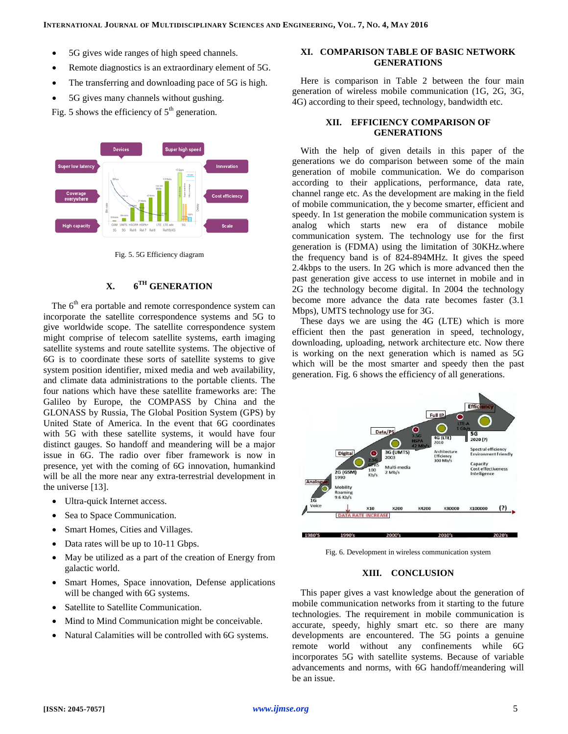- 5G gives wide ranges of high speed channels.
- Remote diagnostics is an extraordinary element of 5G.
- The transferring and downloading pace of 5G is high.
- 5G gives many channels without gushing.

Fig. 5 shows the efficiency of  $5<sup>th</sup>$  generation.



Fig. 5. 5G Efficiency diagram

#### **X. 6 TH GENERATION**

The 6<sup>th</sup> era portable and remote correspondence system can incorporate the satellite correspondence systems and 5G to give worldwide scope. The satellite correspondence system might comprise of telecom satellite systems, earth imaging satellite systems and route satellite systems. The objective of 6G is to coordinate these sorts of satellite systems to give system position identifier, mixed media and web availability, and climate data administrations to the portable clients. The four nations which have these satellite frameworks are: The Galileo by Europe, the COMPASS by China and the GLONASS by Russia, The Global Position System (GPS) by United State of America. In the event that 6G coordinates with 5G with these satellite systems, it would have four distinct gauges. So handoff and meandering will be a major issue in 6G. The radio over fiber framework is now in presence, yet with the coming of 6G innovation, humankind will be all the more near any extra-terrestrial development in the universe [13].

- Ultra-quick Internet access.
- Sea to Space Communication.
- Smart Homes, Cities and Villages.
- Data rates will be up to 10-11 Gbps.
- May be utilized as a part of the creation of Energy from galactic world.
- Smart Homes, Space innovation, Defense applications will be changed with 6G systems.
- Satellite to Satellite Communication.
- Mind to Mind Communication might be conceivable.
- Natural Calamities will be controlled with 6G systems.

## **XI. COMPARISON TABLE OF BASIC NETWORK GENERATIONS**

Here is comparison in Table 2 between the four main generation of wireless mobile communication (1G, 2G, 3G, 4G) according to their speed, technology, bandwidth etc.

## **XII. EFFICIENCY COMPARISON OF GENERATIONS**

With the help of given details in this paper of the generations we do comparison between some of the main generation of mobile communication. We do comparison according to their applications, performance, data rate, channel range etc. As the development are making in the field of mobile communication, the y become smarter, efficient and speedy. In 1st generation the mobile communication system is analog which starts new era of distance mobile communication system. The technology use for the first generation is (FDMA) using the limitation of 30KHz.where the frequency band is of 824-894MHz. It gives the speed 2.4kbps to the users. In 2G which is more advanced then the past generation give access to use internet in mobile and in 2G the technology become digital. In 2004 the technology become more advance the data rate becomes faster (3.1 Mbps), UMTS technology use for 3G.

These days we are using the 4G (LTE) which is more efficient then the past generation in speed, technology, downloading, uploading, network architecture etc. Now there is working on the next generation which is named as 5G which will be the most smarter and speedy then the past generation. Fig. 6 shows the efficiency of all generations.



Fig. 6. Development in wireless communication system

## **XIII. CONCLUSION**

This paper gives a vast knowledge about the generation of mobile communication networks from it starting to the future technologies. The requirement in mobile communication is accurate, speedy, highly smart etc. so there are many developments are encountered. The 5G points a genuine remote world without any confinements while 6G incorporates 5G with satellite systems. Because of variable advancements and norms, with 6G handoff/meandering will be an issue.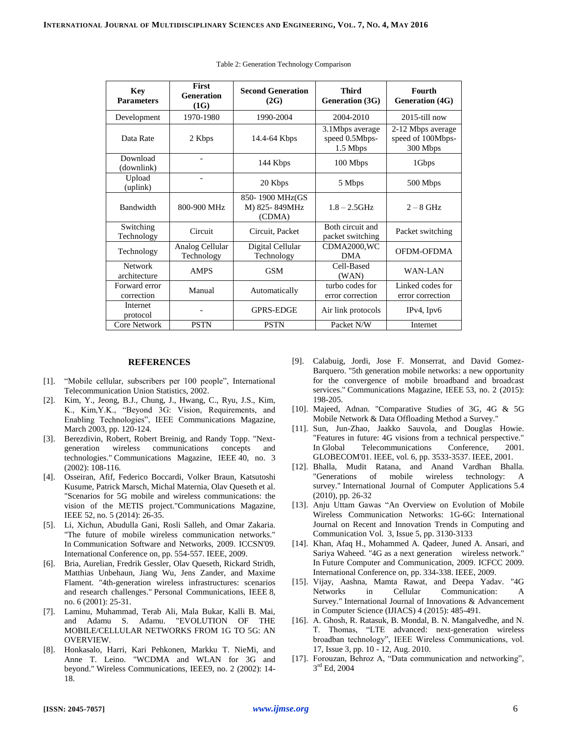| <b>Key</b><br><b>Parameters</b> | <b>First</b><br><b>Generation</b><br>(1G) | <b>Second Generation</b><br>(2G)           | <b>Third</b><br>Generation (3G)               | Fourth<br><b>Generation (4G)</b>                   |
|---------------------------------|-------------------------------------------|--------------------------------------------|-----------------------------------------------|----------------------------------------------------|
| Development                     | 1970-1980                                 | 1990-2004                                  | 2004-2010                                     | $2015$ -till now                                   |
| Data Rate                       | 2 Kbps                                    | 14.4-64 Kbps                               | 3.1Mbps average<br>speed 0.5Mbps-<br>1.5 Mbps | 2-12 Mbps average<br>speed of 100Mbps-<br>300 Mbps |
| Download<br>(downlink)          | $\qquad \qquad -$                         | 144 Kbps                                   | 100 Mbps                                      | 1Gbps                                              |
| Upload<br>(uplink)              |                                           | 20 Kbps                                    | 5 Mbps                                        | 500 Mbps                                           |
| Bandwidth                       | 800-900 MHz                               | 850-1900 MHz(GS<br>M) 825-849MHz<br>(CDMA) | $1.8 - 2.5$ GHz                               | $2 - 8$ GHz                                        |
| Switching<br>Technology         | Circuit                                   | Circuit, Packet                            | Both circuit and<br>packet switching          | Packet switching                                   |
| Technology                      | Analog Cellular<br>Technology             | Digital Cellular<br>Technology             | CDMA2000,WC<br><b>DMA</b>                     | OFDM-OFDMA                                         |
| <b>Network</b><br>architecture  | <b>AMPS</b>                               | <b>GSM</b>                                 | Cell-Based<br>(WAN)                           | WAN-LAN                                            |
| Forward error<br>correction     | Manual                                    | Automatically                              | turbo codes for<br>error correction           | Linked codes for<br>error correction               |
| Internet<br>protocol            |                                           | <b>GPRS-EDGE</b>                           | Air link protocols                            | $IPv4$ , $Ipv6$                                    |
| Core Network                    | <b>PSTN</b>                               | <b>PSTN</b>                                | Packet N/W                                    | Internet                                           |

Table 2: Generation Technology Comparison

### **REFERENCES**

- [1]. "Mobile cellular, subscribers per 100 people", International Telecommunication Union Statistics, 2002.
- [2]. Kim, Y., Jeong, B.J., Chung, J., Hwang, C., Ryu, J.S., Kim, K., Kim,Y.K., "Beyond 3G: Vision, Requirements, and Enabling Technologies", IEEE Communications Magazine, March 2003, pp. 120-124.
- [3]. Berezdivin, Robert, Robert Breinig, and Randy Topp. "Nextgeneration wireless communications concepts and technologies." Communications Magazine, IEEE 40, no. 3 (2002): 108-116.
- [4]. Osseiran, Afif, Federico Boccardi, Volker Braun, Katsutoshi Kusume, Patrick Marsch, Michal Maternia, Olav Queseth et al. "Scenarios for 5G mobile and wireless communications: the vision of the METIS project."Communications Magazine, IEEE 52, no. 5 (2014): 26-35.
- [5]. Li, Xichun, Abudulla Gani, Rosli Salleh, and Omar Zakaria. "The future of mobile wireless communication networks." In Communication Software and Networks, 2009. ICCSN'09. International Conference on, pp. 554-557. IEEE, 2009.
- [6]. Bria, Aurelian, Fredrik Gessler, Olav Queseth, Rickard Stridh, Matthias Unbehaun, Jiang Wu, Jens Zander, and Maxime Flament. "4th-generation wireless infrastructures: scenarios and research challenges." Personal Communications, IEEE 8, no. 6 (2001): 25-31.
- [7]. Laminu, Muhammad, Terab Ali, Mala Bukar, Kalli B. Mai, and Adamu S. Adamu. "EVOLUTION OF THE MOBILE/CELLULAR NETWORKS FROM 1G TO 5G: AN OVERVIEW.
- [8]. Honkasalo, Harri, Kari Pehkonen, Markku T. NieMi, and Anne T. Leino. "WCDMA and WLAN for 3G and beyond." Wireless Communications, IEEE9, no. 2 (2002): 14- 18.
- [9]. Calabuig, Jordi, Jose F. Monserrat, and David Gomez-Barquero. "5th generation mobile networks: a new opportunity for the convergence of mobile broadband and broadcast services." Communications Magazine, IEEE 53, no. 2 (2015): 198-205.
- [10]. Majeed, Adnan. "Comparative Studies of 3G, 4G & 5G Mobile Network & Data Offloading Method a Survey."
- [11]. Sun, Jun-Zhao, Jaakko Sauvola, and Douglas Howie. "Features in future: 4G visions from a technical perspective." In Global Telecommunications Conference, 2001. GLOBECOM'01. IEEE, vol. 6, pp. 3533-3537. IEEE, 2001.
- [12]. Bhalla, Mudit Ratana, and Anand Vardhan Bhalla. "Generations of mobile wireless technology: A survey." International Journal of Computer Applications 5.4 (2010), pp. 26-32
- [13]. Anju Uttam Gawas "An Overview on Evolution of Mobile Wireless Communication Networks: 1G-6G: International Journal on Recent and Innovation Trends in Computing and Communication Vol. 3, Issue 5, pp. 3130-3133
- [14]. Khan, Afaq H., Mohammed A. Qadeer, Juned A. Ansari, and Sariya Waheed. "4G as a next generation wireless network." In Future Computer and Communication, 2009. ICFCC 2009. International Conference on, pp. 334-338. IEEE, 2009.
- [15]. Vijay, Aashna, Mamta Rawat, and Deepa Yadav. "4G Networks in Cellular Communication: A Survey." International Journal of Innovations & Advancement in Computer Science (IJIACS) 4 (2015): 485-491.
- [16]. A. Ghosh, R. Ratasuk, B. Mondal, B. N. Mangalvedhe, and N. T. Thomas, "LTE advanced: next-generation wireless broadban technology", IEEE Wireless Communications, vol. 17, Issue 3, pp. 10 - 12, Aug. 2010.
- [17]. Forouzan, Behroz A, "Data communication and networking", 3 rd Ed, 2004